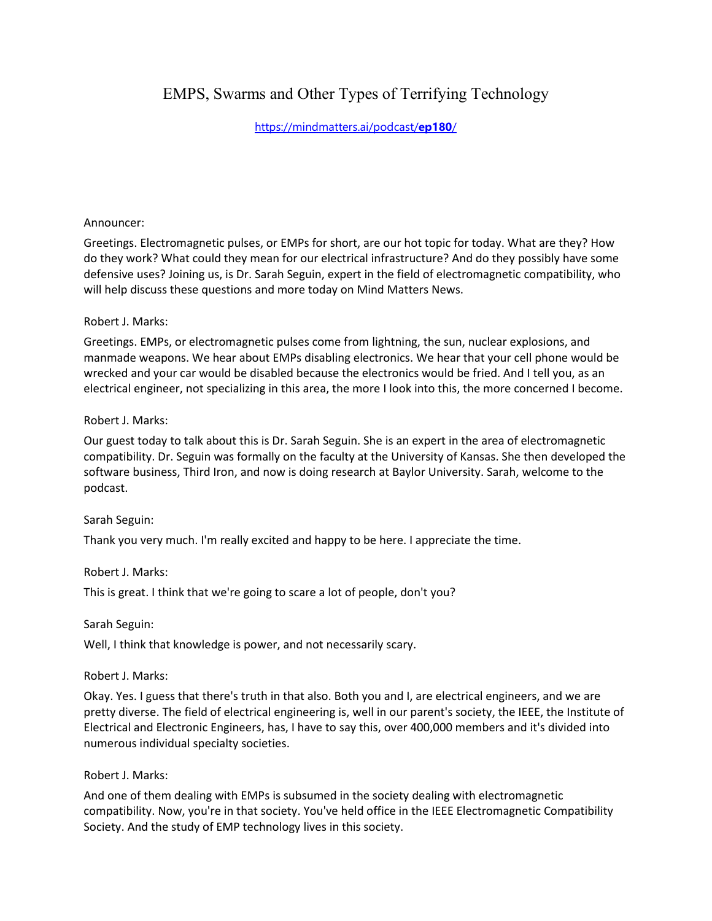# EMPS, Swarms and Other Types of Terrifying Technology

# [https://mindmatters.ai/podcast/](https://mindmatters.ai/podcast/ep180/)**ep180**/

#### Announcer:

Greetings. Electromagnetic pulses, or EMPs for short, are our hot topic for today. What are they? How do they work? What could they mean for our electrical infrastructure? And do they possibly have some defensive uses? Joining us, is Dr. Sarah Seguin, expert in the field of electromagnetic compatibility, who will help discuss these questions and more today on Mind Matters News.

#### Robert J. Marks:

Greetings. EMPs, or electromagnetic pulses come from lightning, the sun, nuclear explosions, and manmade weapons. We hear about EMPs disabling electronics. We hear that your cell phone would be wrecked and your car would be disabled because the electronics would be fried. And I tell you, as an electrical engineer, not specializing in this area, the more I look into this, the more concerned I become.

#### Robert J. Marks:

Our guest today to talk about this is Dr. Sarah Seguin. She is an expert in the area of electromagnetic compatibility. Dr. Seguin was formally on the faculty at the University of Kansas. She then developed the software business, Third Iron, and now is doing research at Baylor University. Sarah, welcome to the podcast.

### Sarah Seguin:

Thank you very much. I'm really excited and happy to be here. I appreciate the time.

#### Robert J. Marks:

This is great. I think that we're going to scare a lot of people, don't you?

Sarah Seguin:

Well, I think that knowledge is power, and not necessarily scary.

### Robert J. Marks:

Okay. Yes. I guess that there's truth in that also. Both you and I, are electrical engineers, and we are pretty diverse. The field of electrical engineering is, well in our parent's society, the IEEE, the Institute of Electrical and Electronic Engineers, has, I have to say this, over 400,000 members and it's divided into numerous individual specialty societies.

### Robert J. Marks:

And one of them dealing with EMPs is subsumed in the society dealing with electromagnetic compatibility. Now, you're in that society. You've held office in the IEEE Electromagnetic Compatibility Society. And the study of EMP technology lives in this society.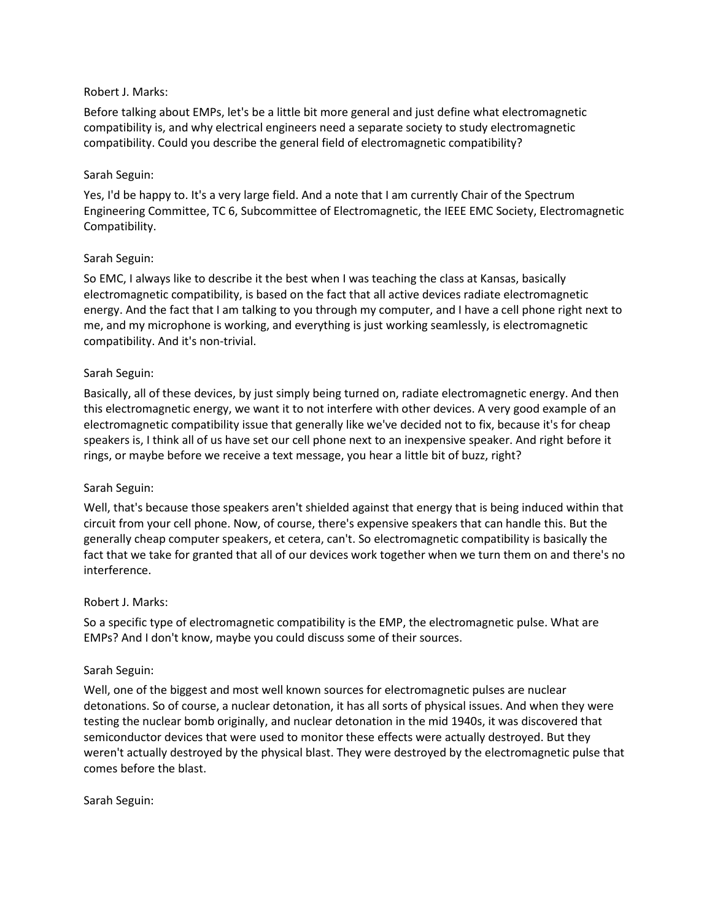#### Robert J. Marks:

Before talking about EMPs, let's be a little bit more general and just define what electromagnetic compatibility is, and why electrical engineers need a separate society to study electromagnetic compatibility. Could you describe the general field of electromagnetic compatibility?

#### Sarah Seguin:

Yes, I'd be happy to. It's a very large field. And a note that I am currently Chair of the Spectrum Engineering Committee, TC 6, Subcommittee of Electromagnetic, the IEEE EMC Society, Electromagnetic Compatibility.

#### Sarah Seguin:

So EMC, I always like to describe it the best when I was teaching the class at Kansas, basically electromagnetic compatibility, is based on the fact that all active devices radiate electromagnetic energy. And the fact that I am talking to you through my computer, and I have a cell phone right next to me, and my microphone is working, and everything is just working seamlessly, is electromagnetic compatibility. And it's non-trivial.

#### Sarah Seguin:

Basically, all of these devices, by just simply being turned on, radiate electromagnetic energy. And then this electromagnetic energy, we want it to not interfere with other devices. A very good example of an electromagnetic compatibility issue that generally like we've decided not to fix, because it's for cheap speakers is, I think all of us have set our cell phone next to an inexpensive speaker. And right before it rings, or maybe before we receive a text message, you hear a little bit of buzz, right?

#### Sarah Seguin:

Well, that's because those speakers aren't shielded against that energy that is being induced within that circuit from your cell phone. Now, of course, there's expensive speakers that can handle this. But the generally cheap computer speakers, et cetera, can't. So electromagnetic compatibility is basically the fact that we take for granted that all of our devices work together when we turn them on and there's no interference.

#### Robert J. Marks:

So a specific type of electromagnetic compatibility is the EMP, the electromagnetic pulse. What are EMPs? And I don't know, maybe you could discuss some of their sources.

#### Sarah Seguin:

Well, one of the biggest and most well known sources for electromagnetic pulses are nuclear detonations. So of course, a nuclear detonation, it has all sorts of physical issues. And when they were testing the nuclear bomb originally, and nuclear detonation in the mid 1940s, it was discovered that semiconductor devices that were used to monitor these effects were actually destroyed. But they weren't actually destroyed by the physical blast. They were destroyed by the electromagnetic pulse that comes before the blast.

Sarah Seguin: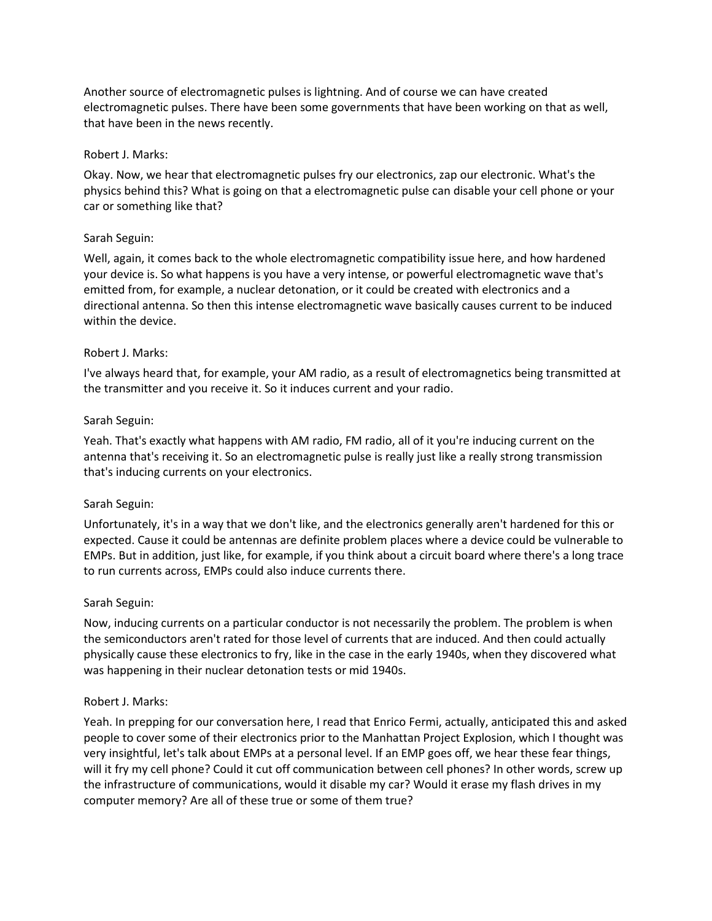Another source of electromagnetic pulses is lightning. And of course we can have created electromagnetic pulses. There have been some governments that have been working on that as well, that have been in the news recently.

#### Robert J. Marks:

Okay. Now, we hear that electromagnetic pulses fry our electronics, zap our electronic. What's the physics behind this? What is going on that a electromagnetic pulse can disable your cell phone or your car or something like that?

#### Sarah Seguin:

Well, again, it comes back to the whole electromagnetic compatibility issue here, and how hardened your device is. So what happens is you have a very intense, or powerful electromagnetic wave that's emitted from, for example, a nuclear detonation, or it could be created with electronics and a directional antenna. So then this intense electromagnetic wave basically causes current to be induced within the device.

#### Robert J. Marks:

I've always heard that, for example, your AM radio, as a result of electromagnetics being transmitted at the transmitter and you receive it. So it induces current and your radio.

#### Sarah Seguin:

Yeah. That's exactly what happens with AM radio, FM radio, all of it you're inducing current on the antenna that's receiving it. So an electromagnetic pulse is really just like a really strong transmission that's inducing currents on your electronics.

#### Sarah Seguin:

Unfortunately, it's in a way that we don't like, and the electronics generally aren't hardened for this or expected. Cause it could be antennas are definite problem places where a device could be vulnerable to EMPs. But in addition, just like, for example, if you think about a circuit board where there's a long trace to run currents across, EMPs could also induce currents there.

#### Sarah Seguin:

Now, inducing currents on a particular conductor is not necessarily the problem. The problem is when the semiconductors aren't rated for those level of currents that are induced. And then could actually physically cause these electronics to fry, like in the case in the early 1940s, when they discovered what was happening in their nuclear detonation tests or mid 1940s.

#### Robert J. Marks:

Yeah. In prepping for our conversation here, I read that Enrico Fermi, actually, anticipated this and asked people to cover some of their electronics prior to the Manhattan Project Explosion, which I thought was very insightful, let's talk about EMPs at a personal level. If an EMP goes off, we hear these fear things, will it fry my cell phone? Could it cut off communication between cell phones? In other words, screw up the infrastructure of communications, would it disable my car? Would it erase my flash drives in my computer memory? Are all of these true or some of them true?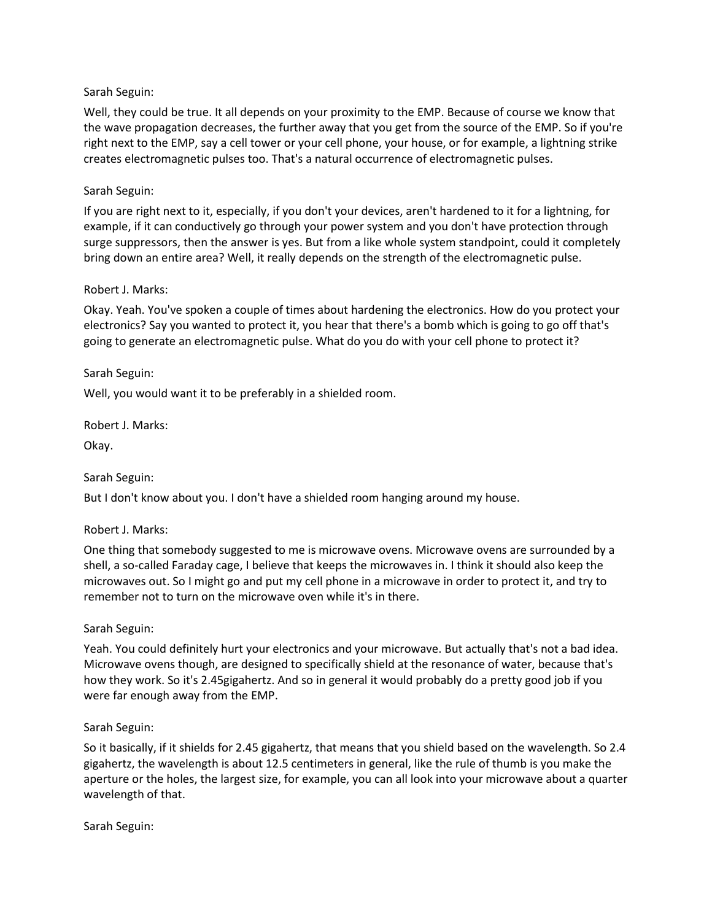### Sarah Seguin:

Well, they could be true. It all depends on your proximity to the EMP. Because of course we know that the wave propagation decreases, the further away that you get from the source of the EMP. So if you're right next to the EMP, say a cell tower or your cell phone, your house, or for example, a lightning strike creates electromagnetic pulses too. That's a natural occurrence of electromagnetic pulses.

#### Sarah Seguin:

If you are right next to it, especially, if you don't your devices, aren't hardened to it for a lightning, for example, if it can conductively go through your power system and you don't have protection through surge suppressors, then the answer is yes. But from a like whole system standpoint, could it completely bring down an entire area? Well, it really depends on the strength of the electromagnetic pulse.

#### Robert J. Marks:

Okay. Yeah. You've spoken a couple of times about hardening the electronics. How do you protect your electronics? Say you wanted to protect it, you hear that there's a bomb which is going to go off that's going to generate an electromagnetic pulse. What do you do with your cell phone to protect it?

#### Sarah Seguin:

Well, you would want it to be preferably in a shielded room.

Robert J. Marks:

Okay.

### Sarah Seguin:

But I don't know about you. I don't have a shielded room hanging around my house.

### Robert J. Marks:

One thing that somebody suggested to me is microwave ovens. Microwave ovens are surrounded by a shell, a so-called Faraday cage, I believe that keeps the microwaves in. I think it should also keep the microwaves out. So I might go and put my cell phone in a microwave in order to protect it, and try to remember not to turn on the microwave oven while it's in there.

#### Sarah Seguin:

Yeah. You could definitely hurt your electronics and your microwave. But actually that's not a bad idea. Microwave ovens though, are designed to specifically shield at the resonance of water, because that's how they work. So it's 2.45gigahertz. And so in general it would probably do a pretty good job if you were far enough away from the EMP.

#### Sarah Seguin:

So it basically, if it shields for 2.45 gigahertz, that means that you shield based on the wavelength. So 2.4 gigahertz, the wavelength is about 12.5 centimeters in general, like the rule of thumb is you make the aperture or the holes, the largest size, for example, you can all look into your microwave about a quarter wavelength of that.

Sarah Seguin: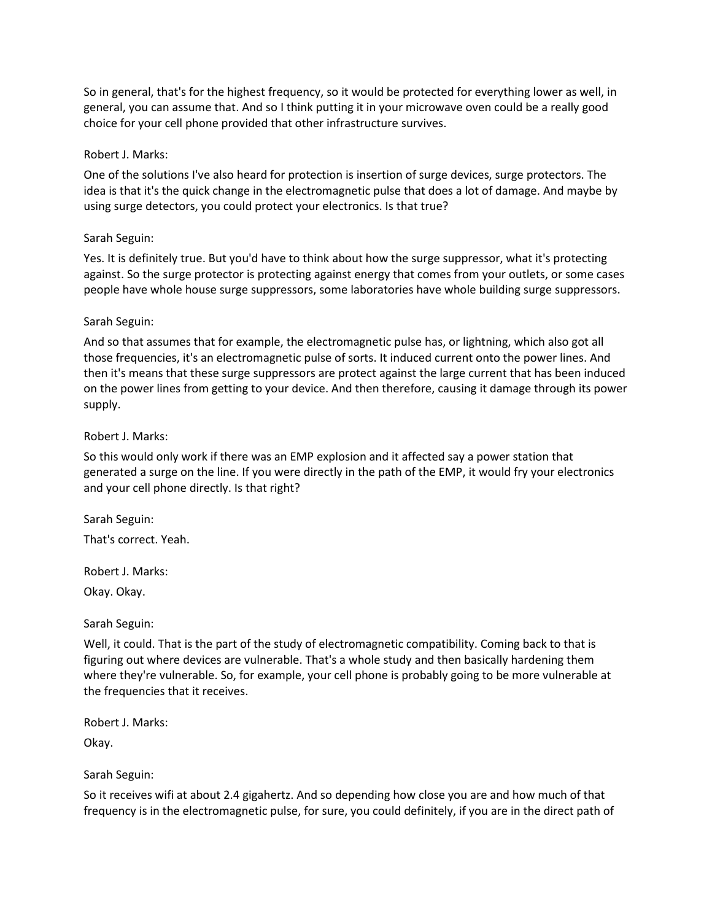So in general, that's for the highest frequency, so it would be protected for everything lower as well, in general, you can assume that. And so I think putting it in your microwave oven could be a really good choice for your cell phone provided that other infrastructure survives.

### Robert J. Marks:

One of the solutions I've also heard for protection is insertion of surge devices, surge protectors. The idea is that it's the quick change in the electromagnetic pulse that does a lot of damage. And maybe by using surge detectors, you could protect your electronics. Is that true?

#### Sarah Seguin:

Yes. It is definitely true. But you'd have to think about how the surge suppressor, what it's protecting against. So the surge protector is protecting against energy that comes from your outlets, or some cases people have whole house surge suppressors, some laboratories have whole building surge suppressors.

#### Sarah Seguin:

And so that assumes that for example, the electromagnetic pulse has, or lightning, which also got all those frequencies, it's an electromagnetic pulse of sorts. It induced current onto the power lines. And then it's means that these surge suppressors are protect against the large current that has been induced on the power lines from getting to your device. And then therefore, causing it damage through its power supply.

#### Robert J. Marks:

So this would only work if there was an EMP explosion and it affected say a power station that generated a surge on the line. If you were directly in the path of the EMP, it would fry your electronics and your cell phone directly. Is that right?

Sarah Seguin:

That's correct. Yeah.

Robert J. Marks:

Okay. Okay.

Sarah Seguin:

Well, it could. That is the part of the study of electromagnetic compatibility. Coming back to that is figuring out where devices are vulnerable. That's a whole study and then basically hardening them where they're vulnerable. So, for example, your cell phone is probably going to be more vulnerable at the frequencies that it receives.

Robert J. Marks:

Okay.

Sarah Seguin:

So it receives wifi at about 2.4 gigahertz. And so depending how close you are and how much of that frequency is in the electromagnetic pulse, for sure, you could definitely, if you are in the direct path of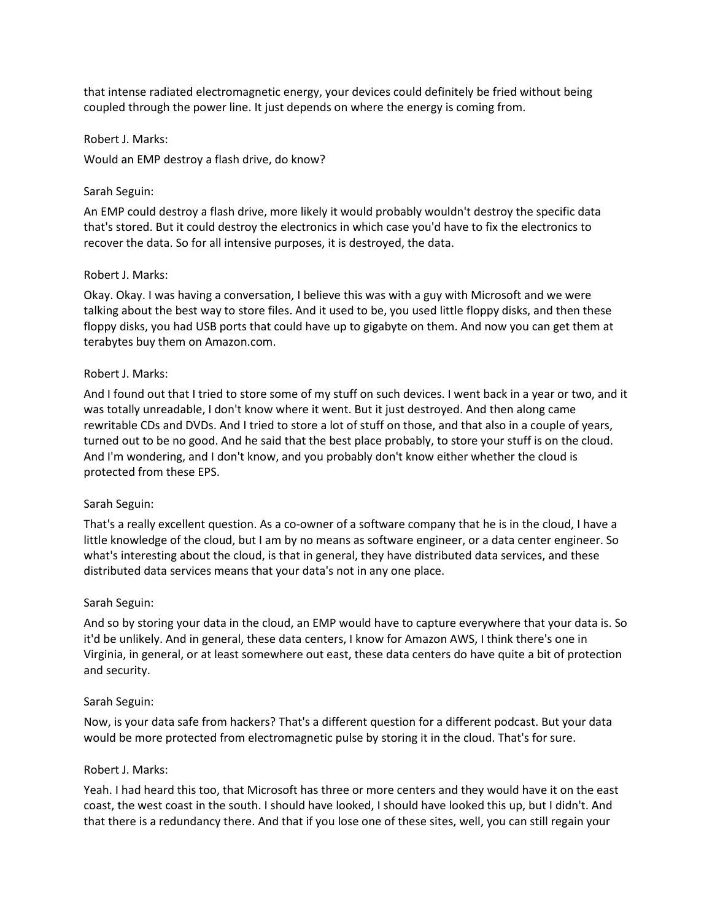that intense radiated electromagnetic energy, your devices could definitely be fried without being coupled through the power line. It just depends on where the energy is coming from.

#### Robert J. Marks:

Would an EMP destroy a flash drive, do know?

### Sarah Seguin:

An EMP could destroy a flash drive, more likely it would probably wouldn't destroy the specific data that's stored. But it could destroy the electronics in which case you'd have to fix the electronics to recover the data. So for all intensive purposes, it is destroyed, the data.

### Robert J. Marks:

Okay. Okay. I was having a conversation, I believe this was with a guy with Microsoft and we were talking about the best way to store files. And it used to be, you used little floppy disks, and then these floppy disks, you had USB ports that could have up to gigabyte on them. And now you can get them at terabytes buy them on Amazon.com.

#### Robert J. Marks:

And I found out that I tried to store some of my stuff on such devices. I went back in a year or two, and it was totally unreadable, I don't know where it went. But it just destroyed. And then along came rewritable CDs and DVDs. And I tried to store a lot of stuff on those, and that also in a couple of years, turned out to be no good. And he said that the best place probably, to store your stuff is on the cloud. And I'm wondering, and I don't know, and you probably don't know either whether the cloud is protected from these EPS.

### Sarah Seguin:

That's a really excellent question. As a co-owner of a software company that he is in the cloud, I have a little knowledge of the cloud, but I am by no means as software engineer, or a data center engineer. So what's interesting about the cloud, is that in general, they have distributed data services, and these distributed data services means that your data's not in any one place.

#### Sarah Seguin:

And so by storing your data in the cloud, an EMP would have to capture everywhere that your data is. So it'd be unlikely. And in general, these data centers, I know for Amazon AWS, I think there's one in Virginia, in general, or at least somewhere out east, these data centers do have quite a bit of protection and security.

#### Sarah Seguin:

Now, is your data safe from hackers? That's a different question for a different podcast. But your data would be more protected from electromagnetic pulse by storing it in the cloud. That's for sure.

#### Robert J. Marks:

Yeah. I had heard this too, that Microsoft has three or more centers and they would have it on the east coast, the west coast in the south. I should have looked, I should have looked this up, but I didn't. And that there is a redundancy there. And that if you lose one of these sites, well, you can still regain your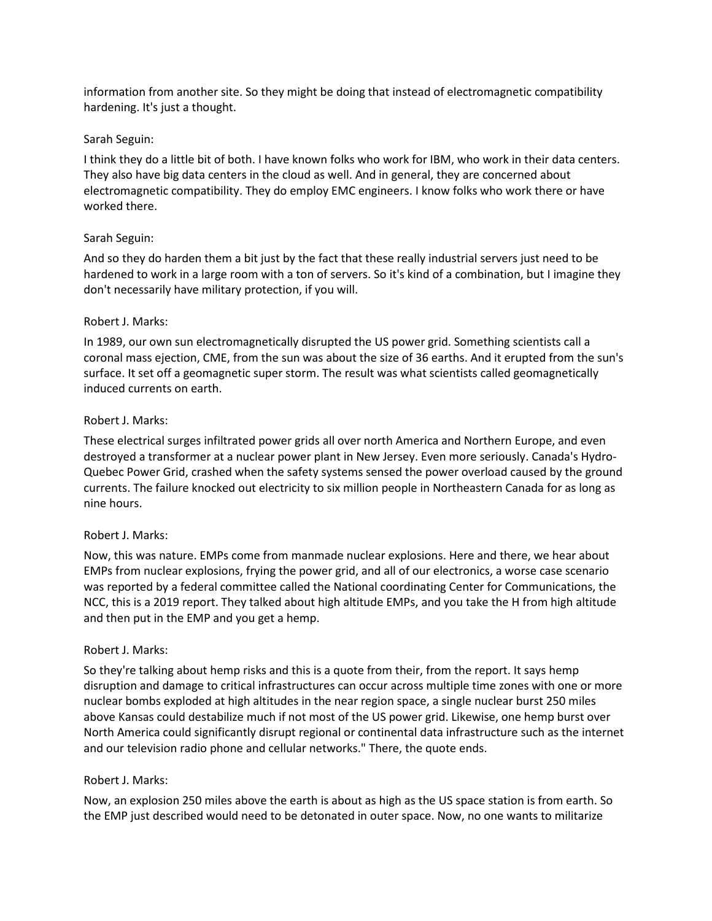information from another site. So they might be doing that instead of electromagnetic compatibility hardening. It's just a thought.

#### Sarah Seguin:

I think they do a little bit of both. I have known folks who work for IBM, who work in their data centers. They also have big data centers in the cloud as well. And in general, they are concerned about electromagnetic compatibility. They do employ EMC engineers. I know folks who work there or have worked there.

#### Sarah Seguin:

And so they do harden them a bit just by the fact that these really industrial servers just need to be hardened to work in a large room with a ton of servers. So it's kind of a combination, but I imagine they don't necessarily have military protection, if you will.

#### Robert J. Marks:

In 1989, our own sun electromagnetically disrupted the US power grid. Something scientists call a coronal mass ejection, CME, from the sun was about the size of 36 earths. And it erupted from the sun's surface. It set off a geomagnetic super storm. The result was what scientists called geomagnetically induced currents on earth.

#### Robert J. Marks:

These electrical surges infiltrated power grids all over north America and Northern Europe, and even destroyed a transformer at a nuclear power plant in New Jersey. Even more seriously. Canada's Hydro-Quebec Power Grid, crashed when the safety systems sensed the power overload caused by the ground currents. The failure knocked out electricity to six million people in Northeastern Canada for as long as nine hours.

#### Robert J. Marks:

Now, this was nature. EMPs come from manmade nuclear explosions. Here and there, we hear about EMPs from nuclear explosions, frying the power grid, and all of our electronics, a worse case scenario was reported by a federal committee called the National coordinating Center for Communications, the NCC, this is a 2019 report. They talked about high altitude EMPs, and you take the H from high altitude and then put in the EMP and you get a hemp.

#### Robert J. Marks:

So they're talking about hemp risks and this is a quote from their, from the report. It says hemp disruption and damage to critical infrastructures can occur across multiple time zones with one or more nuclear bombs exploded at high altitudes in the near region space, a single nuclear burst 250 miles above Kansas could destabilize much if not most of the US power grid. Likewise, one hemp burst over North America could significantly disrupt regional or continental data infrastructure such as the internet and our television radio phone and cellular networks." There, the quote ends.

### Robert J. Marks:

Now, an explosion 250 miles above the earth is about as high as the US space station is from earth. So the EMP just described would need to be detonated in outer space. Now, no one wants to militarize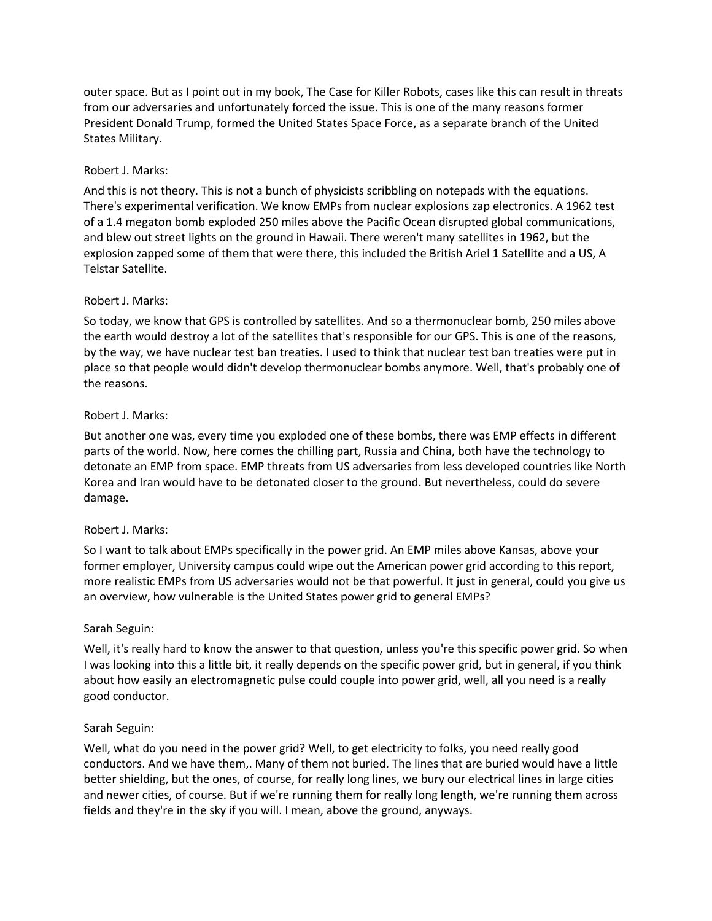outer space. But as I point out in my book, The Case for Killer Robots, cases like this can result in threats from our adversaries and unfortunately forced the issue. This is one of the many reasons former President Donald Trump, formed the United States Space Force, as a separate branch of the United States Military.

## Robert J. Marks:

And this is not theory. This is not a bunch of physicists scribbling on notepads with the equations. There's experimental verification. We know EMPs from nuclear explosions zap electronics. A 1962 test of a 1.4 megaton bomb exploded 250 miles above the Pacific Ocean disrupted global communications, and blew out street lights on the ground in Hawaii. There weren't many satellites in 1962, but the explosion zapped some of them that were there, this included the British Ariel 1 Satellite and a US, A Telstar Satellite.

### Robert J. Marks:

So today, we know that GPS is controlled by satellites. And so a thermonuclear bomb, 250 miles above the earth would destroy a lot of the satellites that's responsible for our GPS. This is one of the reasons, by the way, we have nuclear test ban treaties. I used to think that nuclear test ban treaties were put in place so that people would didn't develop thermonuclear bombs anymore. Well, that's probably one of the reasons.

# Robert J. Marks:

But another one was, every time you exploded one of these bombs, there was EMP effects in different parts of the world. Now, here comes the chilling part, Russia and China, both have the technology to detonate an EMP from space. EMP threats from US adversaries from less developed countries like North Korea and Iran would have to be detonated closer to the ground. But nevertheless, could do severe damage.

### Robert J. Marks:

So I want to talk about EMPs specifically in the power grid. An EMP miles above Kansas, above your former employer, University campus could wipe out the American power grid according to this report, more realistic EMPs from US adversaries would not be that powerful. It just in general, could you give us an overview, how vulnerable is the United States power grid to general EMPs?

### Sarah Seguin:

Well, it's really hard to know the answer to that question, unless you're this specific power grid. So when I was looking into this a little bit, it really depends on the specific power grid, but in general, if you think about how easily an electromagnetic pulse could couple into power grid, well, all you need is a really good conductor.

### Sarah Seguin:

Well, what do you need in the power grid? Well, to get electricity to folks, you need really good conductors. And we have them,. Many of them not buried. The lines that are buried would have a little better shielding, but the ones, of course, for really long lines, we bury our electrical lines in large cities and newer cities, of course. But if we're running them for really long length, we're running them across fields and they're in the sky if you will. I mean, above the ground, anyways.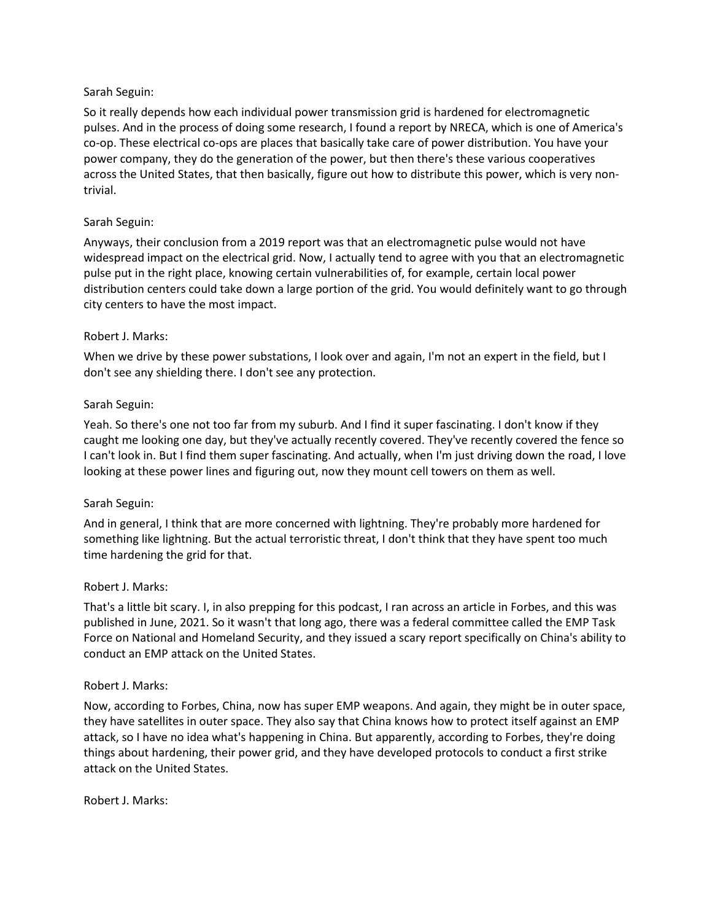### Sarah Seguin:

So it really depends how each individual power transmission grid is hardened for electromagnetic pulses. And in the process of doing some research, I found a report by NRECA, which is one of America's co-op. These electrical co-ops are places that basically take care of power distribution. You have your power company, they do the generation of the power, but then there's these various cooperatives across the United States, that then basically, figure out how to distribute this power, which is very nontrivial.

#### Sarah Seguin:

Anyways, their conclusion from a 2019 report was that an electromagnetic pulse would not have widespread impact on the electrical grid. Now, I actually tend to agree with you that an electromagnetic pulse put in the right place, knowing certain vulnerabilities of, for example, certain local power distribution centers could take down a large portion of the grid. You would definitely want to go through city centers to have the most impact.

#### Robert J. Marks:

When we drive by these power substations, I look over and again, I'm not an expert in the field, but I don't see any shielding there. I don't see any protection.

#### Sarah Seguin:

Yeah. So there's one not too far from my suburb. And I find it super fascinating. I don't know if they caught me looking one day, but they've actually recently covered. They've recently covered the fence so I can't look in. But I find them super fascinating. And actually, when I'm just driving down the road, I love looking at these power lines and figuring out, now they mount cell towers on them as well.

### Sarah Seguin:

And in general, I think that are more concerned with lightning. They're probably more hardened for something like lightning. But the actual terroristic threat, I don't think that they have spent too much time hardening the grid for that.

#### Robert J. Marks:

That's a little bit scary. I, in also prepping for this podcast, I ran across an article in Forbes, and this was published in June, 2021. So it wasn't that long ago, there was a federal committee called the EMP Task Force on National and Homeland Security, and they issued a scary report specifically on China's ability to conduct an EMP attack on the United States.

#### Robert J. Marks:

Now, according to Forbes, China, now has super EMP weapons. And again, they might be in outer space, they have satellites in outer space. They also say that China knows how to protect itself against an EMP attack, so I have no idea what's happening in China. But apparently, according to Forbes, they're doing things about hardening, their power grid, and they have developed protocols to conduct a first strike attack on the United States.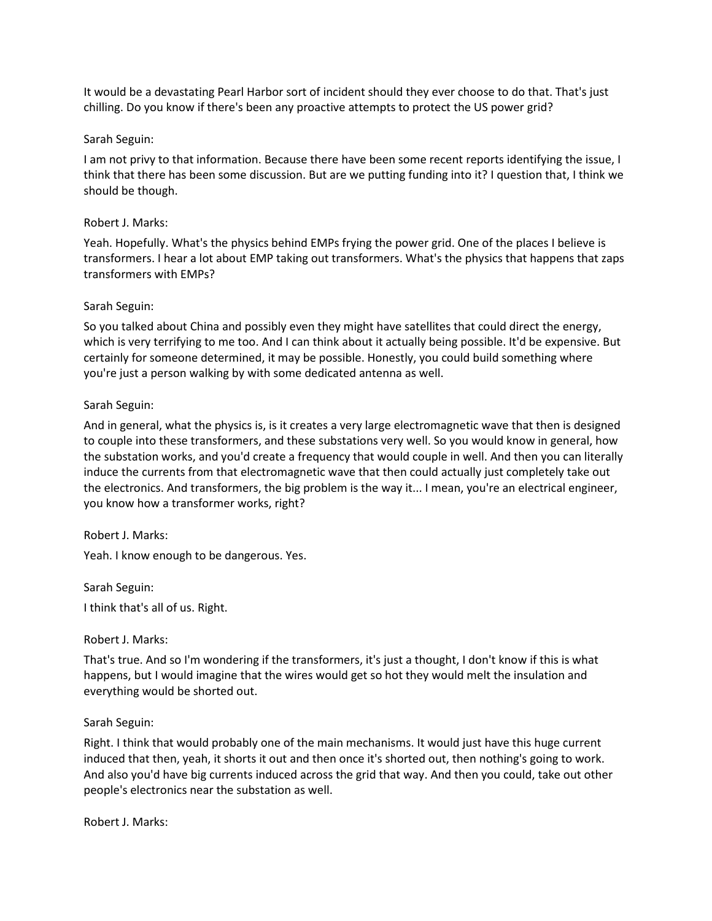It would be a devastating Pearl Harbor sort of incident should they ever choose to do that. That's just chilling. Do you know if there's been any proactive attempts to protect the US power grid?

#### Sarah Seguin:

I am not privy to that information. Because there have been some recent reports identifying the issue, I think that there has been some discussion. But are we putting funding into it? I question that, I think we should be though.

#### Robert J. Marks:

Yeah. Hopefully. What's the physics behind EMPs frying the power grid. One of the places I believe is transformers. I hear a lot about EMP taking out transformers. What's the physics that happens that zaps transformers with EMPs?

#### Sarah Seguin:

So you talked about China and possibly even they might have satellites that could direct the energy, which is very terrifying to me too. And I can think about it actually being possible. It'd be expensive. But certainly for someone determined, it may be possible. Honestly, you could build something where you're just a person walking by with some dedicated antenna as well.

### Sarah Seguin:

And in general, what the physics is, is it creates a very large electromagnetic wave that then is designed to couple into these transformers, and these substations very well. So you would know in general, how the substation works, and you'd create a frequency that would couple in well. And then you can literally induce the currents from that electromagnetic wave that then could actually just completely take out the electronics. And transformers, the big problem is the way it... I mean, you're an electrical engineer, you know how a transformer works, right?

### Robert J. Marks:

Yeah. I know enough to be dangerous. Yes.

Sarah Seguin:

I think that's all of us. Right.

### Robert J. Marks:

That's true. And so I'm wondering if the transformers, it's just a thought, I don't know if this is what happens, but I would imagine that the wires would get so hot they would melt the insulation and everything would be shorted out.

#### Sarah Seguin:

Right. I think that would probably one of the main mechanisms. It would just have this huge current induced that then, yeah, it shorts it out and then once it's shorted out, then nothing's going to work. And also you'd have big currents induced across the grid that way. And then you could, take out other people's electronics near the substation as well.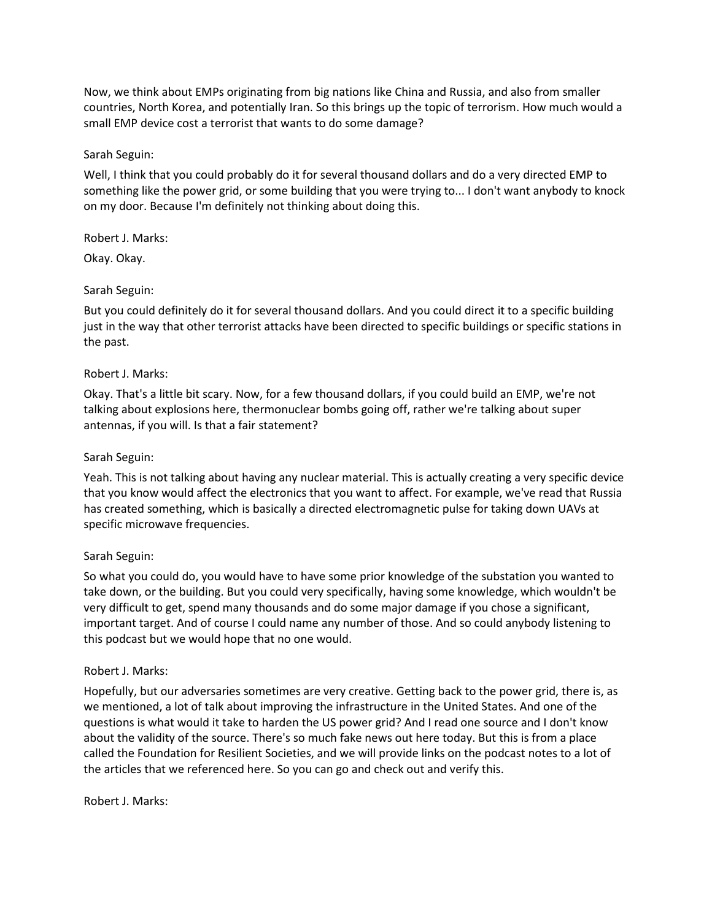Now, we think about EMPs originating from big nations like China and Russia, and also from smaller countries, North Korea, and potentially Iran. So this brings up the topic of terrorism. How much would a small EMP device cost a terrorist that wants to do some damage?

## Sarah Seguin:

Well, I think that you could probably do it for several thousand dollars and do a very directed EMP to something like the power grid, or some building that you were trying to... I don't want anybody to knock on my door. Because I'm definitely not thinking about doing this.

### Robert J. Marks:

Okay. Okay.

# Sarah Seguin:

But you could definitely do it for several thousand dollars. And you could direct it to a specific building just in the way that other terrorist attacks have been directed to specific buildings or specific stations in the past.

# Robert J. Marks:

Okay. That's a little bit scary. Now, for a few thousand dollars, if you could build an EMP, we're not talking about explosions here, thermonuclear bombs going off, rather we're talking about super antennas, if you will. Is that a fair statement?

## Sarah Seguin:

Yeah. This is not talking about having any nuclear material. This is actually creating a very specific device that you know would affect the electronics that you want to affect. For example, we've read that Russia has created something, which is basically a directed electromagnetic pulse for taking down UAVs at specific microwave frequencies.

# Sarah Seguin:

So what you could do, you would have to have some prior knowledge of the substation you wanted to take down, or the building. But you could very specifically, having some knowledge, which wouldn't be very difficult to get, spend many thousands and do some major damage if you chose a significant, important target. And of course I could name any number of those. And so could anybody listening to this podcast but we would hope that no one would.

### Robert J. Marks:

Hopefully, but our adversaries sometimes are very creative. Getting back to the power grid, there is, as we mentioned, a lot of talk about improving the infrastructure in the United States. And one of the questions is what would it take to harden the US power grid? And I read one source and I don't know about the validity of the source. There's so much fake news out here today. But this is from a place called the Foundation for Resilient Societies, and we will provide links on the podcast notes to a lot of the articles that we referenced here. So you can go and check out and verify this.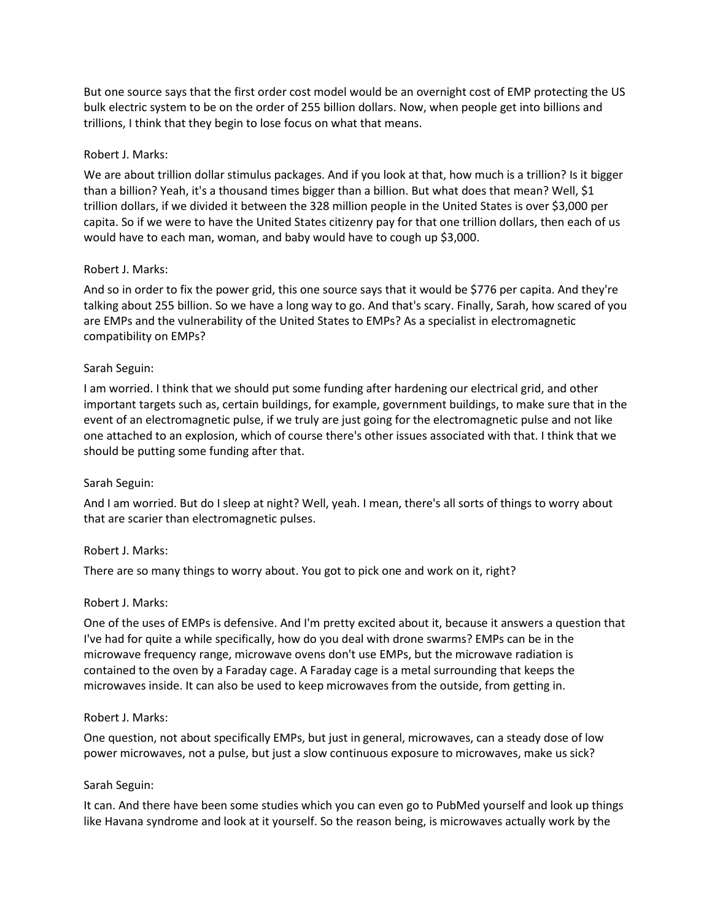But one source says that the first order cost model would be an overnight cost of EMP protecting the US bulk electric system to be on the order of 255 billion dollars. Now, when people get into billions and trillions, I think that they begin to lose focus on what that means.

#### Robert J. Marks:

We are about trillion dollar stimulus packages. And if you look at that, how much is a trillion? Is it bigger than a billion? Yeah, it's a thousand times bigger than a billion. But what does that mean? Well, \$1 trillion dollars, if we divided it between the 328 million people in the United States is over \$3,000 per capita. So if we were to have the United States citizenry pay for that one trillion dollars, then each of us would have to each man, woman, and baby would have to cough up \$3,000.

#### Robert J. Marks:

And so in order to fix the power grid, this one source says that it would be \$776 per capita. And they're talking about 255 billion. So we have a long way to go. And that's scary. Finally, Sarah, how scared of you are EMPs and the vulnerability of the United States to EMPs? As a specialist in electromagnetic compatibility on EMPs?

#### Sarah Seguin:

I am worried. I think that we should put some funding after hardening our electrical grid, and other important targets such as, certain buildings, for example, government buildings, to make sure that in the event of an electromagnetic pulse, if we truly are just going for the electromagnetic pulse and not like one attached to an explosion, which of course there's other issues associated with that. I think that we should be putting some funding after that.

### Sarah Seguin:

And I am worried. But do I sleep at night? Well, yeah. I mean, there's all sorts of things to worry about that are scarier than electromagnetic pulses.

### Robert J. Marks:

There are so many things to worry about. You got to pick one and work on it, right?

#### Robert J. Marks:

One of the uses of EMPs is defensive. And I'm pretty excited about it, because it answers a question that I've had for quite a while specifically, how do you deal with drone swarms? EMPs can be in the microwave frequency range, microwave ovens don't use EMPs, but the microwave radiation is contained to the oven by a Faraday cage. A Faraday cage is a metal surrounding that keeps the microwaves inside. It can also be used to keep microwaves from the outside, from getting in.

#### Robert J. Marks:

One question, not about specifically EMPs, but just in general, microwaves, can a steady dose of low power microwaves, not a pulse, but just a slow continuous exposure to microwaves, make us sick?

#### Sarah Seguin:

It can. And there have been some studies which you can even go to PubMed yourself and look up things like Havana syndrome and look at it yourself. So the reason being, is microwaves actually work by the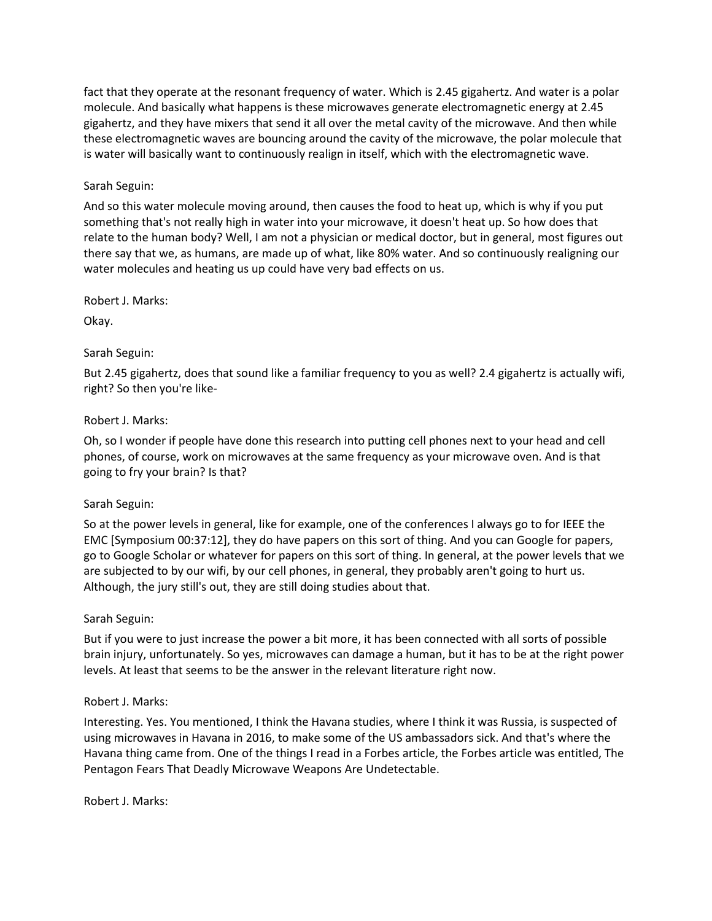fact that they operate at the resonant frequency of water. Which is 2.45 gigahertz. And water is a polar molecule. And basically what happens is these microwaves generate electromagnetic energy at 2.45 gigahertz, and they have mixers that send it all over the metal cavity of the microwave. And then while these electromagnetic waves are bouncing around the cavity of the microwave, the polar molecule that is water will basically want to continuously realign in itself, which with the electromagnetic wave.

## Sarah Seguin:

And so this water molecule moving around, then causes the food to heat up, which is why if you put something that's not really high in water into your microwave, it doesn't heat up. So how does that relate to the human body? Well, I am not a physician or medical doctor, but in general, most figures out there say that we, as humans, are made up of what, like 80% water. And so continuously realigning our water molecules and heating us up could have very bad effects on us.

Robert J. Marks:

Okay.

### Sarah Seguin:

But 2.45 gigahertz, does that sound like a familiar frequency to you as well? 2.4 gigahertz is actually wifi, right? So then you're like-

### Robert J. Marks:

Oh, so I wonder if people have done this research into putting cell phones next to your head and cell phones, of course, work on microwaves at the same frequency as your microwave oven. And is that going to fry your brain? Is that?

### Sarah Seguin:

So at the power levels in general, like for example, one of the conferences I always go to for IEEE the EMC [Symposium 00:37:12], they do have papers on this sort of thing. And you can Google for papers, go to Google Scholar or whatever for papers on this sort of thing. In general, at the power levels that we are subjected to by our wifi, by our cell phones, in general, they probably aren't going to hurt us. Although, the jury still's out, they are still doing studies about that.

### Sarah Seguin:

But if you were to just increase the power a bit more, it has been connected with all sorts of possible brain injury, unfortunately. So yes, microwaves can damage a human, but it has to be at the right power levels. At least that seems to be the answer in the relevant literature right now.

### Robert J. Marks:

Interesting. Yes. You mentioned, I think the Havana studies, where I think it was Russia, is suspected of using microwaves in Havana in 2016, to make some of the US ambassadors sick. And that's where the Havana thing came from. One of the things I read in a Forbes article, the Forbes article was entitled, The Pentagon Fears That Deadly Microwave Weapons Are Undetectable.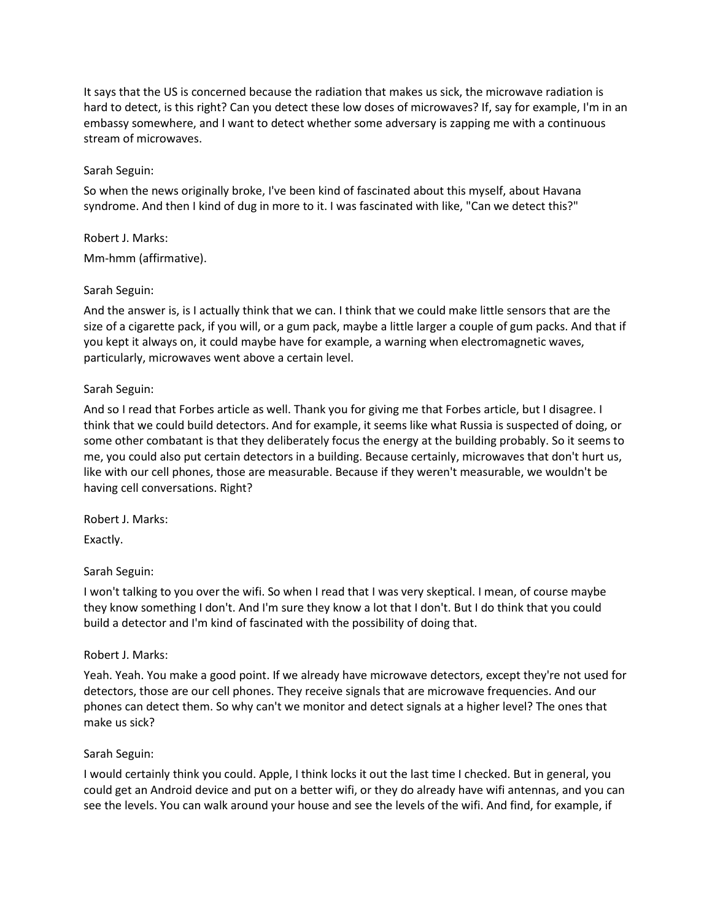It says that the US is concerned because the radiation that makes us sick, the microwave radiation is hard to detect, is this right? Can you detect these low doses of microwaves? If, say for example, I'm in an embassy somewhere, and I want to detect whether some adversary is zapping me with a continuous stream of microwaves.

# Sarah Seguin:

So when the news originally broke, I've been kind of fascinated about this myself, about Havana syndrome. And then I kind of dug in more to it. I was fascinated with like, "Can we detect this?"

Robert J. Marks: Mm-hmm (affirmative).

# Sarah Seguin:

And the answer is, is I actually think that we can. I think that we could make little sensors that are the size of a cigarette pack, if you will, or a gum pack, maybe a little larger a couple of gum packs. And that if you kept it always on, it could maybe have for example, a warning when electromagnetic waves, particularly, microwaves went above a certain level.

# Sarah Seguin:

And so I read that Forbes article as well. Thank you for giving me that Forbes article, but I disagree. I think that we could build detectors. And for example, it seems like what Russia is suspected of doing, or some other combatant is that they deliberately focus the energy at the building probably. So it seems to me, you could also put certain detectors in a building. Because certainly, microwaves that don't hurt us, like with our cell phones, those are measurable. Because if they weren't measurable, we wouldn't be having cell conversations. Right?

Robert J. Marks:

Exactly.

# Sarah Seguin:

I won't talking to you over the wifi. So when I read that I was very skeptical. I mean, of course maybe they know something I don't. And I'm sure they know a lot that I don't. But I do think that you could build a detector and I'm kind of fascinated with the possibility of doing that.

# Robert J. Marks:

Yeah. Yeah. You make a good point. If we already have microwave detectors, except they're not used for detectors, those are our cell phones. They receive signals that are microwave frequencies. And our phones can detect them. So why can't we monitor and detect signals at a higher level? The ones that make us sick?

### Sarah Seguin:

I would certainly think you could. Apple, I think locks it out the last time I checked. But in general, you could get an Android device and put on a better wifi, or they do already have wifi antennas, and you can see the levels. You can walk around your house and see the levels of the wifi. And find, for example, if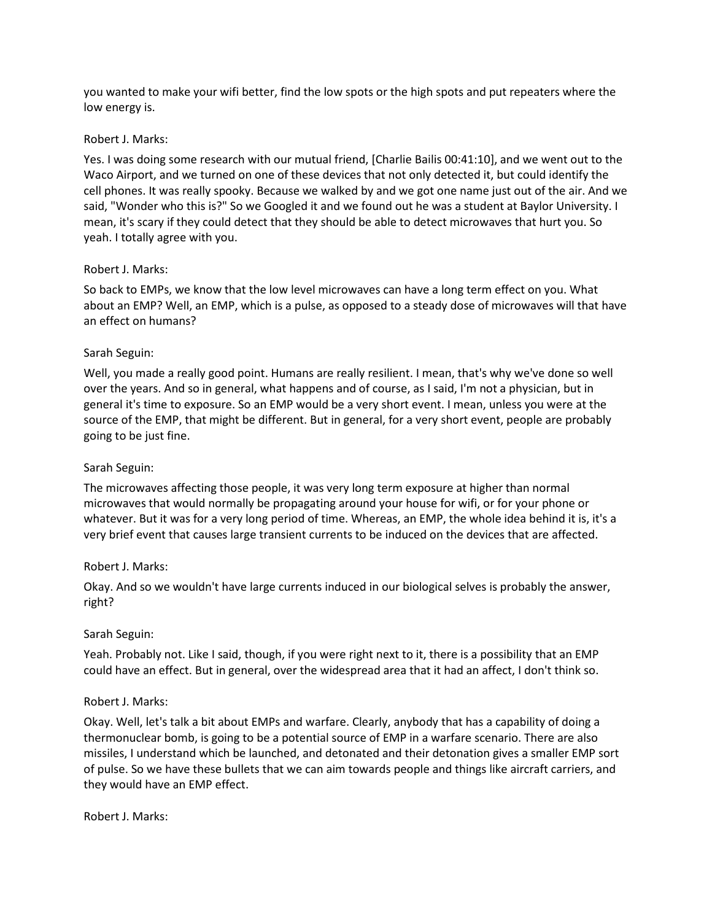you wanted to make your wifi better, find the low spots or the high spots and put repeaters where the low energy is.

#### Robert J. Marks:

Yes. I was doing some research with our mutual friend, [Charlie Bailis 00:41:10], and we went out to the Waco Airport, and we turned on one of these devices that not only detected it, but could identify the cell phones. It was really spooky. Because we walked by and we got one name just out of the air. And we said, "Wonder who this is?" So we Googled it and we found out he was a student at Baylor University. I mean, it's scary if they could detect that they should be able to detect microwaves that hurt you. So yeah. I totally agree with you.

### Robert J. Marks:

So back to EMPs, we know that the low level microwaves can have a long term effect on you. What about an EMP? Well, an EMP, which is a pulse, as opposed to a steady dose of microwaves will that have an effect on humans?

### Sarah Seguin:

Well, you made a really good point. Humans are really resilient. I mean, that's why we've done so well over the years. And so in general, what happens and of course, as I said, I'm not a physician, but in general it's time to exposure. So an EMP would be a very short event. I mean, unless you were at the source of the EMP, that might be different. But in general, for a very short event, people are probably going to be just fine.

### Sarah Seguin:

The microwaves affecting those people, it was very long term exposure at higher than normal microwaves that would normally be propagating around your house for wifi, or for your phone or whatever. But it was for a very long period of time. Whereas, an EMP, the whole idea behind it is, it's a very brief event that causes large transient currents to be induced on the devices that are affected.

### Robert J. Marks:

Okay. And so we wouldn't have large currents induced in our biological selves is probably the answer, right?

#### Sarah Seguin:

Yeah. Probably not. Like I said, though, if you were right next to it, there is a possibility that an EMP could have an effect. But in general, over the widespread area that it had an affect, I don't think so.

### Robert J. Marks:

Okay. Well, let's talk a bit about EMPs and warfare. Clearly, anybody that has a capability of doing a thermonuclear bomb, is going to be a potential source of EMP in a warfare scenario. There are also missiles, I understand which be launched, and detonated and their detonation gives a smaller EMP sort of pulse. So we have these bullets that we can aim towards people and things like aircraft carriers, and they would have an EMP effect.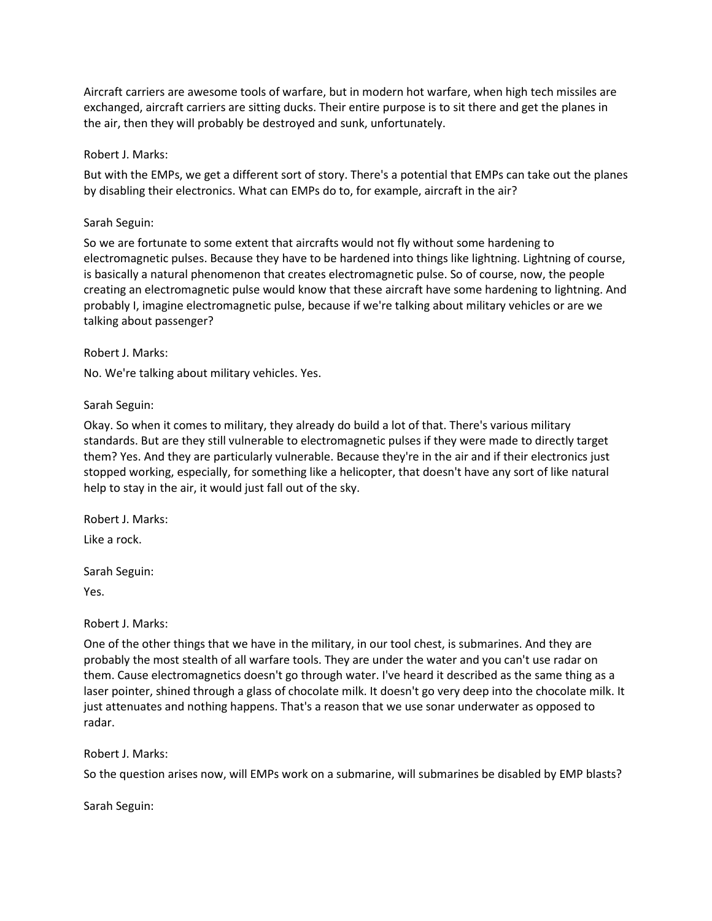Aircraft carriers are awesome tools of warfare, but in modern hot warfare, when high tech missiles are exchanged, aircraft carriers are sitting ducks. Their entire purpose is to sit there and get the planes in the air, then they will probably be destroyed and sunk, unfortunately.

### Robert J. Marks:

But with the EMPs, we get a different sort of story. There's a potential that EMPs can take out the planes by disabling their electronics. What can EMPs do to, for example, aircraft in the air?

## Sarah Seguin:

So we are fortunate to some extent that aircrafts would not fly without some hardening to electromagnetic pulses. Because they have to be hardened into things like lightning. Lightning of course, is basically a natural phenomenon that creates electromagnetic pulse. So of course, now, the people creating an electromagnetic pulse would know that these aircraft have some hardening to lightning. And probably I, imagine electromagnetic pulse, because if we're talking about military vehicles or are we talking about passenger?

# Robert J. Marks:

No. We're talking about military vehicles. Yes.

# Sarah Seguin:

Okay. So when it comes to military, they already do build a lot of that. There's various military standards. But are they still vulnerable to electromagnetic pulses if they were made to directly target them? Yes. And they are particularly vulnerable. Because they're in the air and if their electronics just stopped working, especially, for something like a helicopter, that doesn't have any sort of like natural help to stay in the air, it would just fall out of the sky.

Robert J. Marks:

Like a rock.

Sarah Seguin:

Yes.

# Robert J. Marks:

One of the other things that we have in the military, in our tool chest, is submarines. And they are probably the most stealth of all warfare tools. They are under the water and you can't use radar on them. Cause electromagnetics doesn't go through water. I've heard it described as the same thing as a laser pointer, shined through a glass of chocolate milk. It doesn't go very deep into the chocolate milk. It just attenuates and nothing happens. That's a reason that we use sonar underwater as opposed to radar.

### Robert J. Marks:

So the question arises now, will EMPs work on a submarine, will submarines be disabled by EMP blasts?

Sarah Seguin: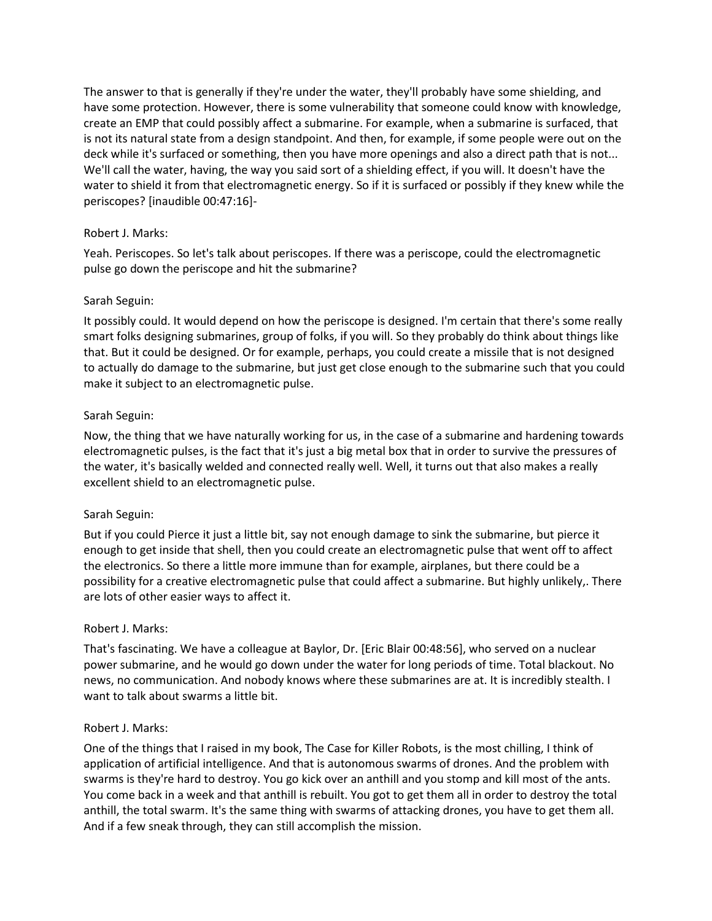The answer to that is generally if they're under the water, they'll probably have some shielding, and have some protection. However, there is some vulnerability that someone could know with knowledge, create an EMP that could possibly affect a submarine. For example, when a submarine is surfaced, that is not its natural state from a design standpoint. And then, for example, if some people were out on the deck while it's surfaced or something, then you have more openings and also a direct path that is not... We'll call the water, having, the way you said sort of a shielding effect, if you will. It doesn't have the water to shield it from that electromagnetic energy. So if it is surfaced or possibly if they knew while the periscopes? [inaudible 00:47:16]-

# Robert J. Marks:

Yeah. Periscopes. So let's talk about periscopes. If there was a periscope, could the electromagnetic pulse go down the periscope and hit the submarine?

# Sarah Seguin:

It possibly could. It would depend on how the periscope is designed. I'm certain that there's some really smart folks designing submarines, group of folks, if you will. So they probably do think about things like that. But it could be designed. Or for example, perhaps, you could create a missile that is not designed to actually do damage to the submarine, but just get close enough to the submarine such that you could make it subject to an electromagnetic pulse.

# Sarah Seguin:

Now, the thing that we have naturally working for us, in the case of a submarine and hardening towards electromagnetic pulses, is the fact that it's just a big metal box that in order to survive the pressures of the water, it's basically welded and connected really well. Well, it turns out that also makes a really excellent shield to an electromagnetic pulse.

### Sarah Seguin:

But if you could Pierce it just a little bit, say not enough damage to sink the submarine, but pierce it enough to get inside that shell, then you could create an electromagnetic pulse that went off to affect the electronics. So there a little more immune than for example, airplanes, but there could be a possibility for a creative electromagnetic pulse that could affect a submarine. But highly unlikely,. There are lots of other easier ways to affect it.

### Robert J. Marks:

That's fascinating. We have a colleague at Baylor, Dr. [Eric Blair 00:48:56], who served on a nuclear power submarine, and he would go down under the water for long periods of time. Total blackout. No news, no communication. And nobody knows where these submarines are at. It is incredibly stealth. I want to talk about swarms a little bit.

### Robert J. Marks:

One of the things that I raised in my book, The Case for Killer Robots, is the most chilling, I think of application of artificial intelligence. And that is autonomous swarms of drones. And the problem with swarms is they're hard to destroy. You go kick over an anthill and you stomp and kill most of the ants. You come back in a week and that anthill is rebuilt. You got to get them all in order to destroy the total anthill, the total swarm. It's the same thing with swarms of attacking drones, you have to get them all. And if a few sneak through, they can still accomplish the mission.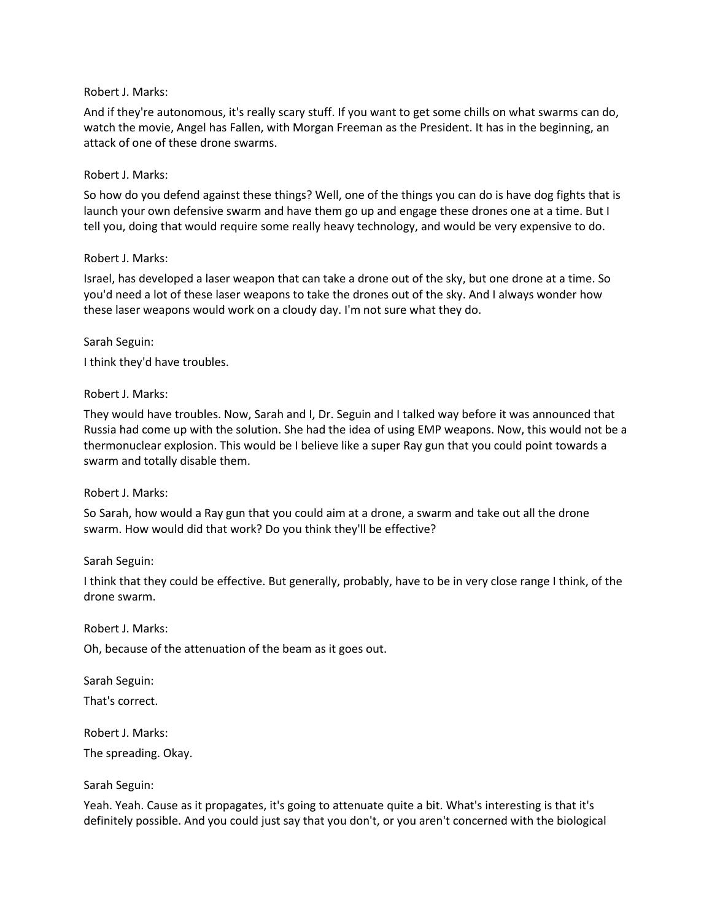#### Robert J. Marks:

And if they're autonomous, it's really scary stuff. If you want to get some chills on what swarms can do, watch the movie, Angel has Fallen, with Morgan Freeman as the President. It has in the beginning, an attack of one of these drone swarms.

#### Robert J. Marks:

So how do you defend against these things? Well, one of the things you can do is have dog fights that is launch your own defensive swarm and have them go up and engage these drones one at a time. But I tell you, doing that would require some really heavy technology, and would be very expensive to do.

#### Robert J. Marks:

Israel, has developed a laser weapon that can take a drone out of the sky, but one drone at a time. So you'd need a lot of these laser weapons to take the drones out of the sky. And I always wonder how these laser weapons would work on a cloudy day. I'm not sure what they do.

Sarah Seguin:

I think they'd have troubles.

#### Robert J. Marks:

They would have troubles. Now, Sarah and I, Dr. Seguin and I talked way before it was announced that Russia had come up with the solution. She had the idea of using EMP weapons. Now, this would not be a thermonuclear explosion. This would be I believe like a super Ray gun that you could point towards a swarm and totally disable them.

#### Robert J. Marks:

So Sarah, how would a Ray gun that you could aim at a drone, a swarm and take out all the drone swarm. How would did that work? Do you think they'll be effective?

#### Sarah Seguin:

I think that they could be effective. But generally, probably, have to be in very close range I think, of the drone swarm.

Robert J. Marks:

Oh, because of the attenuation of the beam as it goes out.

Sarah Seguin: That's correct.

Robert J. Marks: The spreading. Okay.

Sarah Seguin:

Yeah. Yeah. Cause as it propagates, it's going to attenuate quite a bit. What's interesting is that it's definitely possible. And you could just say that you don't, or you aren't concerned with the biological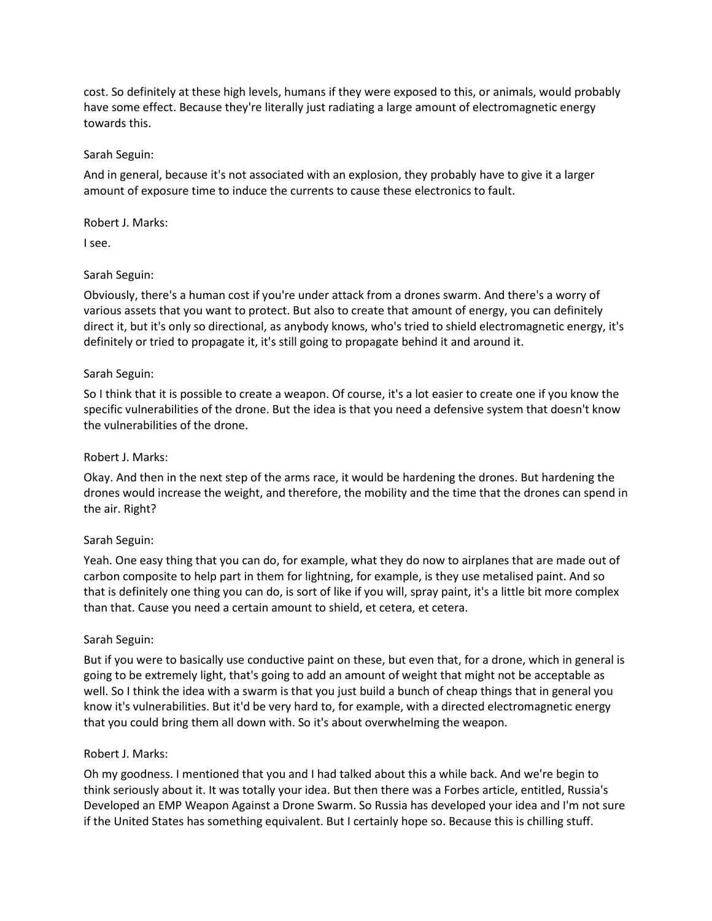cost. So definitely at these high levels, humans if they were exposed to this, or animals, would probably have some effect. Because they're literally just radiating a large amount of electromagnetic energy towards this.

#### Sarah Seguin:

And in general, because it's not associated with an explosion, they probably have to give it a larger amount of exposure time to induce the currents to cause these electronics to fault.

#### Robert J. Marks:

I see.

# Sarah Seguin:

Obviously, there's a human cost if you're under attack from a drones swarm. And there's a worry of various assets that you want to protect. But also to create that amount of energy, you can definitely direct it, but it's only so directional, as anybody knows, who's tried to shield electromagnetic energy, it's definitely or tried to propagate it, it's still going to propagate behind it and around it.

### Sarah Seguin:

So I think that it is possible to create a weapon. Of course, it's a lot easier to create one if you know the specific vulnerabilities of the drone. But the idea is that you need a defensive system that doesn't know the vulnerabilities of the drone.

## Robert J. Marks:

Okay. And then in the next step of the arms race, it would be hardening the drones. But hardening the drones would increase the weight, and therefore, the mobility and the time that the drones can spend in the air. Right?

### Sarah Seguin:

Yeah. One easy thing that you can do, for example, what they do now to airplanes that are made out of carbon composite to help part in them for lightning, for example, is they use metalised paint. And so that is definitely one thing you can do, is sort of like if you will, spray paint, it's a little bit more complex than that. Cause you need a certain amount to shield, et cetera, et cetera.

### Sarah Seguin:

But if you were to basically use conductive paint on these, but even that, for a drone, which in general is going to be extremely light, that's going to add an amount of weight that might not be acceptable as well. So I think the idea with a swarm is that you just build a bunch of cheap things that in general you know it's vulnerabilities. But it'd be very hard to, for example, with a directed electromagnetic energy that you could bring them all down with. So it's about overwhelming the weapon.

### Robert J. Marks:

Oh my goodness. I mentioned that you and I had talked about this a while back. And we're begin to think seriously about it. It was totally your idea. But then there was a Forbes article, entitled, Russia's Developed an EMP Weapon Against a Drone Swarm. So Russia has developed your idea and I'm not sure if the United States has something equivalent. But I certainly hope so. Because this is chilling stuff.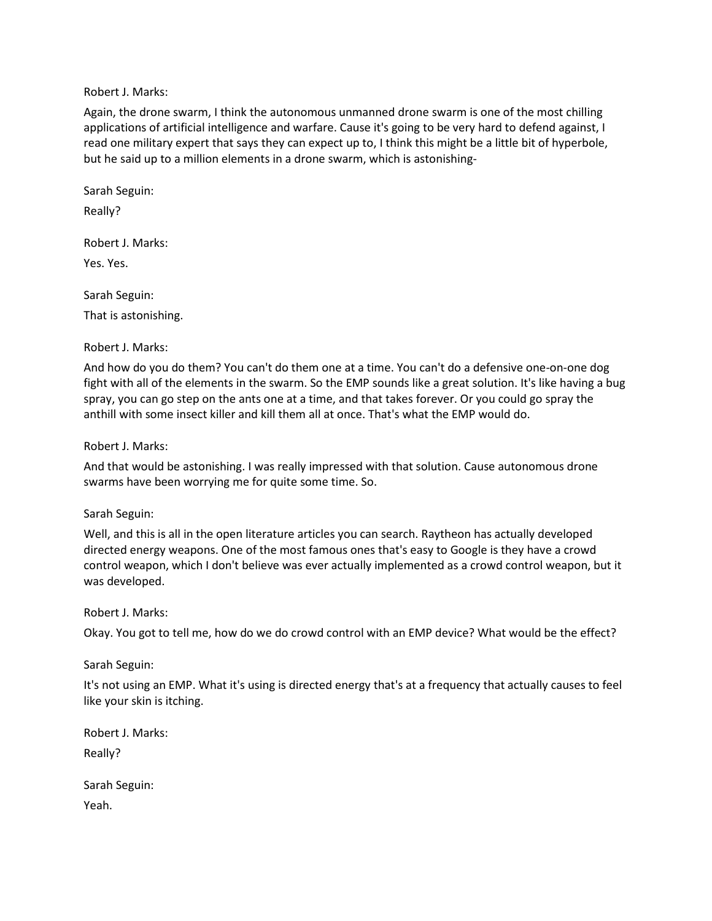Robert J. Marks:

Again, the drone swarm, I think the autonomous unmanned drone swarm is one of the most chilling applications of artificial intelligence and warfare. Cause it's going to be very hard to defend against, I read one military expert that says they can expect up to, I think this might be a little bit of hyperbole, but he said up to a million elements in a drone swarm, which is astonishing-

Sarah Seguin:

Really?

Robert J. Marks:

Yes. Yes.

Sarah Seguin:

That is astonishing.

Robert J. Marks:

And how do you do them? You can't do them one at a time. You can't do a defensive one-on-one dog fight with all of the elements in the swarm. So the EMP sounds like a great solution. It's like having a bug spray, you can go step on the ants one at a time, and that takes forever. Or you could go spray the anthill with some insect killer and kill them all at once. That's what the EMP would do.

Robert J. Marks:

And that would be astonishing. I was really impressed with that solution. Cause autonomous drone swarms have been worrying me for quite some time. So.

### Sarah Seguin:

Well, and this is all in the open literature articles you can search. Raytheon has actually developed directed energy weapons. One of the most famous ones that's easy to Google is they have a crowd control weapon, which I don't believe was ever actually implemented as a crowd control weapon, but it was developed.

### Robert J. Marks:

Okay. You got to tell me, how do we do crowd control with an EMP device? What would be the effect?

Sarah Seguin:

It's not using an EMP. What it's using is directed energy that's at a frequency that actually causes to feel like your skin is itching.

Robert J. Marks: Really?

Sarah Seguin: Yeah.